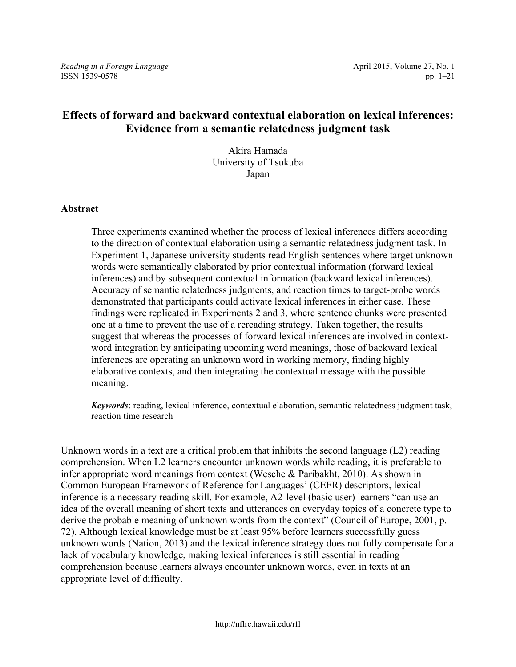*Reading in a Foreign Language* **April 2015, Volume 27, No. 1** April 2015, Volume 27, No. 1 ISSN 1539-0578 pp. 1–21

# **Effects of forward and backward contextual elaboration on lexical inferences: Evidence from a semantic relatedness judgment task**

Akira Hamada University of Tsukuba Japan

#### **Abstract**

Three experiments examined whether the process of lexical inferences differs according to the direction of contextual elaboration using a semantic relatedness judgment task. In Experiment 1, Japanese university students read English sentences where target unknown words were semantically elaborated by prior contextual information (forward lexical inferences) and by subsequent contextual information (backward lexical inferences). Accuracy of semantic relatedness judgments, and reaction times to target-probe words demonstrated that participants could activate lexical inferences in either case. These findings were replicated in Experiments 2 and 3, where sentence chunks were presented one at a time to prevent the use of a rereading strategy. Taken together, the results suggest that whereas the processes of forward lexical inferences are involved in contextword integration by anticipating upcoming word meanings, those of backward lexical inferences are operating an unknown word in working memory, finding highly elaborative contexts, and then integrating the contextual message with the possible meaning.

*Keywords*: reading, lexical inference, contextual elaboration, semantic relatedness judgment task, reaction time research

Unknown words in a text are a critical problem that inhibits the second language (L2) reading comprehension. When L2 learners encounter unknown words while reading, it is preferable to infer appropriate word meanings from context (Wesche & Paribakht, 2010). As shown in Common European Framework of Reference for Languages' (CEFR) descriptors, lexical inference is a necessary reading skill. For example, A2-level (basic user) learners "can use an idea of the overall meaning of short texts and utterances on everyday topics of a concrete type to derive the probable meaning of unknown words from the context" (Council of Europe, 2001, p. 72). Although lexical knowledge must be at least 95% before learners successfully guess unknown words (Nation, 2013) and the lexical inference strategy does not fully compensate for a lack of vocabulary knowledge, making lexical inferences is still essential in reading comprehension because learners always encounter unknown words, even in texts at an appropriate level of difficulty.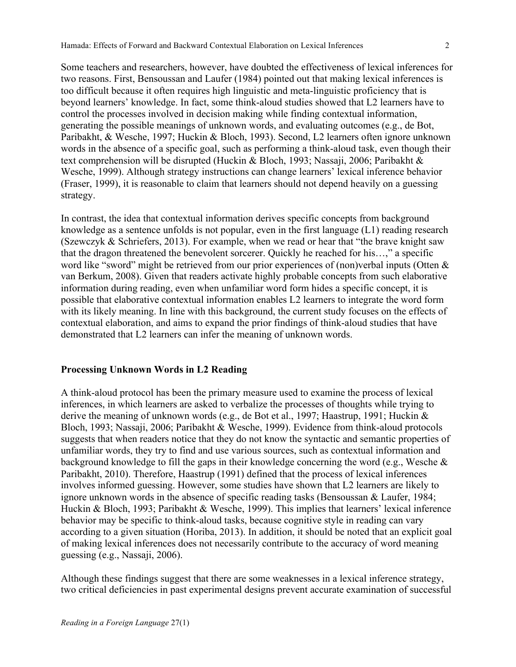Some teachers and researchers, however, have doubted the effectiveness of lexical inferences for two reasons. First, Bensoussan and Laufer (1984) pointed out that making lexical inferences is too difficult because it often requires high linguistic and meta-linguistic proficiency that is beyond learners' knowledge. In fact, some think-aloud studies showed that L2 learners have to control the processes involved in decision making while finding contextual information, generating the possible meanings of unknown words, and evaluating outcomes (e.g., de Bot, Paribakht, & Wesche, 1997; Huckin & Bloch, 1993). Second, L2 learners often ignore unknown words in the absence of a specific goal, such as performing a think-aloud task, even though their text comprehension will be disrupted (Huckin & Bloch, 1993; Nassaji, 2006; Paribakht & Wesche, 1999). Although strategy instructions can change learners' lexical inference behavior (Fraser, 1999), it is reasonable to claim that learners should not depend heavily on a guessing strategy.

In contrast, the idea that contextual information derives specific concepts from background knowledge as a sentence unfolds is not popular, even in the first language (L1) reading research (Szewczyk & Schriefers, 2013). For example, when we read or hear that "the brave knight saw that the dragon threatened the benevolent sorcerer. Quickly he reached for his…," a specific word like "sword" might be retrieved from our prior experiences of (non)verbal inputs (Otten & van Berkum, 2008). Given that readers activate highly probable concepts from such elaborative information during reading, even when unfamiliar word form hides a specific concept, it is possible that elaborative contextual information enables L2 learners to integrate the word form with its likely meaning. In line with this background, the current study focuses on the effects of contextual elaboration, and aims to expand the prior findings of think-aloud studies that have demonstrated that L2 learners can infer the meaning of unknown words.

#### **Processing Unknown Words in L2 Reading**

A think-aloud protocol has been the primary measure used to examine the process of lexical inferences, in which learners are asked to verbalize the processes of thoughts while trying to derive the meaning of unknown words (e.g., de Bot et al., 1997; Haastrup, 1991; Huckin & Bloch, 1993; Nassaji, 2006; Paribakht & Wesche, 1999). Evidence from think-aloud protocols suggests that when readers notice that they do not know the syntactic and semantic properties of unfamiliar words, they try to find and use various sources, such as contextual information and background knowledge to fill the gaps in their knowledge concerning the word (e.g., Wesche & Paribakht, 2010). Therefore, Haastrup (1991) defined that the process of lexical inferences involves informed guessing. However, some studies have shown that L2 learners are likely to ignore unknown words in the absence of specific reading tasks (Bensoussan & Laufer, 1984; Huckin & Bloch, 1993; Paribakht & Wesche, 1999). This implies that learners' lexical inference behavior may be specific to think-aloud tasks, because cognitive style in reading can vary according to a given situation (Horiba, 2013). In addition, it should be noted that an explicit goal of making lexical inferences does not necessarily contribute to the accuracy of word meaning guessing (e.g., Nassaji, 2006).

Although these findings suggest that there are some weaknesses in a lexical inference strategy, two critical deficiencies in past experimental designs prevent accurate examination of successful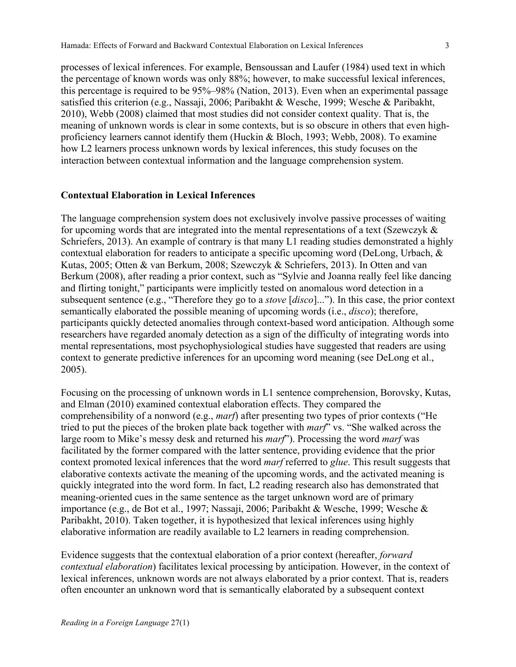processes of lexical inferences. For example, Bensoussan and Laufer (1984) used text in which the percentage of known words was only 88%; however, to make successful lexical inferences, this percentage is required to be 95%–98% (Nation, 2013). Even when an experimental passage satisfied this criterion (e.g., Nassaji, 2006; Paribakht & Wesche, 1999; Wesche & Paribakht, 2010), Webb (2008) claimed that most studies did not consider context quality. That is, the meaning of unknown words is clear in some contexts, but is so obscure in others that even highproficiency learners cannot identify them (Huckin  $\&$  Bloch, 1993; Webb, 2008). To examine how L2 learners process unknown words by lexical inferences, this study focuses on the interaction between contextual information and the language comprehension system.

#### **Contextual Elaboration in Lexical Inferences**

The language comprehension system does not exclusively involve passive processes of waiting for upcoming words that are integrated into the mental representations of a text (Szewczyk & Schriefers, 2013). An example of contrary is that many L1 reading studies demonstrated a highly contextual elaboration for readers to anticipate a specific upcoming word (DeLong, Urbach, & Kutas, 2005; Otten & van Berkum, 2008; Szewczyk & Schriefers, 2013). In Otten and van Berkum (2008), after reading a prior context, such as "Sylvie and Joanna really feel like dancing and flirting tonight," participants were implicitly tested on anomalous word detection in a subsequent sentence (e.g., "Therefore they go to a *stove* [*disco*]..."). In this case, the prior context semantically elaborated the possible meaning of upcoming words (i.e., *disco*); therefore, participants quickly detected anomalies through context-based word anticipation. Although some researchers have regarded anomaly detection as a sign of the difficulty of integrating words into mental representations, most psychophysiological studies have suggested that readers are using context to generate predictive inferences for an upcoming word meaning (see DeLong et al., 2005).

Focusing on the processing of unknown words in L1 sentence comprehension, Borovsky, Kutas, and Elman (2010) examined contextual elaboration effects. They compared the comprehensibility of a nonword (e.g., *marf*) after presenting two types of prior contexts ("He tried to put the pieces of the broken plate back together with *marf*" vs. "She walked across the large room to Mike's messy desk and returned his *marf*"). Processing the word *marf* was facilitated by the former compared with the latter sentence, providing evidence that the prior context promoted lexical inferences that the word *marf* referred to *glue*. This result suggests that elaborative contexts activate the meaning of the upcoming words, and the activated meaning is quickly integrated into the word form. In fact, L2 reading research also has demonstrated that meaning-oriented cues in the same sentence as the target unknown word are of primary importance (e.g., de Bot et al., 1997; Nassaji, 2006; Paribakht & Wesche, 1999; Wesche & Paribakht, 2010). Taken together, it is hypothesized that lexical inferences using highly elaborative information are readily available to L2 learners in reading comprehension.

Evidence suggests that the contextual elaboration of a prior context (hereafter, *forward contextual elaboration*) facilitates lexical processing by anticipation. However, in the context of lexical inferences, unknown words are not always elaborated by a prior context. That is, readers often encounter an unknown word that is semantically elaborated by a subsequent context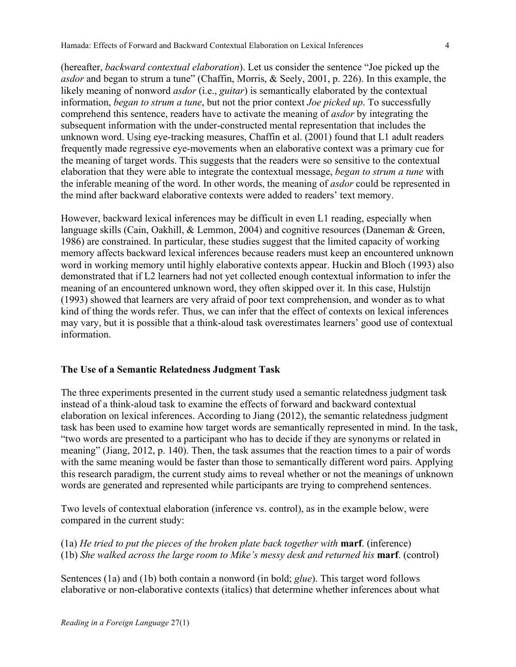Hamada: Effects of Forward and Backward Contextual Elaboration on Lexical Inferences 4

(hereafter, *backward contextual elaboration*). Let us consider the sentence "Joe picked up the *asdor* and began to strum a tune" (Chaffin, Morris, & Seely, 2001, p. 226). In this example, the likely meaning of nonword *asdor* (i.e., *guitar*) is semantically elaborated by the contextual information, *began to strum a tune*, but not the prior context *Joe picked up*. To successfully comprehend this sentence, readers have to activate the meaning of *asdor* by integrating the subsequent information with the under-constructed mental representation that includes the unknown word. Using eye-tracking measures, Chaffin et al. (2001) found that L1 adult readers frequently made regressive eye-movements when an elaborative context was a primary cue for the meaning of target words. This suggests that the readers were so sensitive to the contextual elaboration that they were able to integrate the contextual message, *began to strum a tune* with the inferable meaning of the word. In other words, the meaning of *asdor* could be represented in the mind after backward elaborative contexts were added to readers' text memory.

However, backward lexical inferences may be difficult in even L1 reading, especially when language skills (Cain, Oakhill, & Lemmon, 2004) and cognitive resources (Daneman & Green, 1986) are constrained. In particular, these studies suggest that the limited capacity of working memory affects backward lexical inferences because readers must keep an encountered unknown word in working memory until highly elaborative contexts appear. Huckin and Bloch (1993) also demonstrated that if L2 learners had not yet collected enough contextual information to infer the meaning of an encountered unknown word, they often skipped over it. In this case, Hulstijn (1993) showed that learners are very afraid of poor text comprehension, and wonder as to what kind of thing the words refer. Thus, we can infer that the effect of contexts on lexical inferences may vary, but it is possible that a think-aloud task overestimates learners' good use of contextual information.

## **The Use of a Semantic Relatedness Judgment Task**

The three experiments presented in the current study used a semantic relatedness judgment task instead of a think-aloud task to examine the effects of forward and backward contextual elaboration on lexical inferences. According to Jiang (2012), the semantic relatedness judgment task has been used to examine how target words are semantically represented in mind. In the task, "two words are presented to a participant who has to decide if they are synonyms or related in meaning" (Jiang, 2012, p. 140). Then, the task assumes that the reaction times to a pair of words with the same meaning would be faster than those to semantically different word pairs. Applying this research paradigm, the current study aims to reveal whether or not the meanings of unknown words are generated and represented while participants are trying to comprehend sentences.

Two levels of contextual elaboration (inference vs. control), as in the example below, were compared in the current study:

(1a) *He tried to put the pieces of the broken plate back together with* **marf**. (inference) (1b) *She walked across the large room to Mike's messy desk and returned his* **marf**. (control)

Sentences (1a) and (1b) both contain a nonword (in bold; *glue*). This target word follows elaborative or non-elaborative contexts (italics) that determine whether inferences about what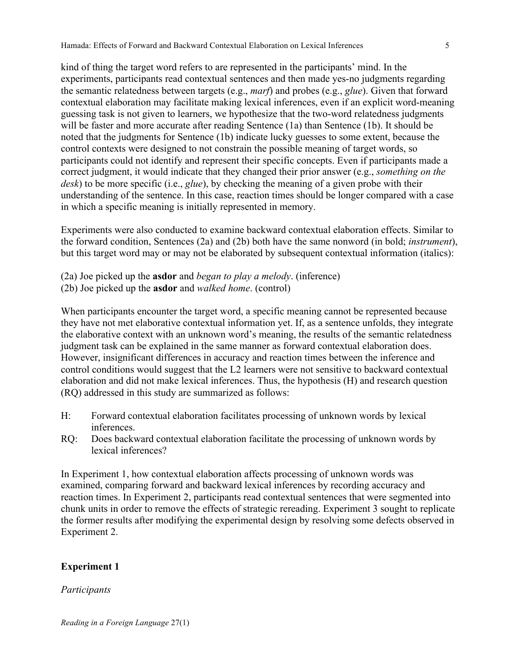kind of thing the target word refers to are represented in the participants' mind. In the experiments, participants read contextual sentences and then made yes-no judgments regarding the semantic relatedness between targets (e.g., *marf*) and probes (e.g., *glue*). Given that forward contextual elaboration may facilitate making lexical inferences, even if an explicit word-meaning guessing task is not given to learners, we hypothesize that the two-word relatedness judgments will be faster and more accurate after reading Sentence (1a) than Sentence (1b). It should be noted that the judgments for Sentence (1b) indicate lucky guesses to some extent, because the control contexts were designed to not constrain the possible meaning of target words, so participants could not identify and represent their specific concepts. Even if participants made a correct judgment, it would indicate that they changed their prior answer (e.g., *something on the desk*) to be more specific (i.e., *glue*), by checking the meaning of a given probe with their understanding of the sentence. In this case, reaction times should be longer compared with a case in which a specific meaning is initially represented in memory.

Experiments were also conducted to examine backward contextual elaboration effects. Similar to the forward condition, Sentences (2a) and (2b) both have the same nonword (in bold; *instrument*), but this target word may or may not be elaborated by subsequent contextual information (italics):

- (2a) Joe picked up the **asdor** and *began to play a melody*. (inference)
- (2b) Joe picked up the **asdor** and *walked home*. (control)

When participants encounter the target word, a specific meaning cannot be represented because they have not met elaborative contextual information yet. If, as a sentence unfolds, they integrate the elaborative context with an unknown word's meaning, the results of the semantic relatedness judgment task can be explained in the same manner as forward contextual elaboration does. However, insignificant differences in accuracy and reaction times between the inference and control conditions would suggest that the L2 learners were not sensitive to backward contextual elaboration and did not make lexical inferences. Thus, the hypothesis (H) and research question (RQ) addressed in this study are summarized as follows:

- H: Forward contextual elaboration facilitates processing of unknown words by lexical inferences.
- RQ: Does backward contextual elaboration facilitate the processing of unknown words by lexical inferences?

In Experiment 1, how contextual elaboration affects processing of unknown words was examined, comparing forward and backward lexical inferences by recording accuracy and reaction times. In Experiment 2, participants read contextual sentences that were segmented into chunk units in order to remove the effects of strategic rereading. Experiment 3 sought to replicate the former results after modifying the experimental design by resolving some defects observed in Experiment 2.

## **Experiment 1**

## *Participants*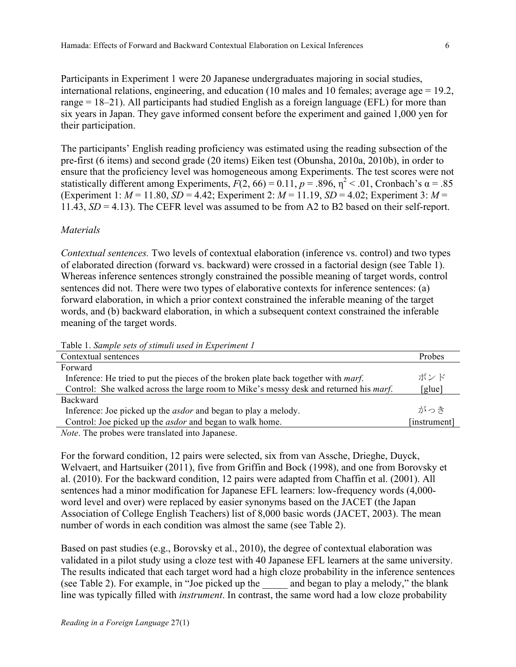Participants in Experiment 1 were 20 Japanese undergraduates majoring in social studies, international relations, engineering, and education (10 males and 10 females; average age = 19.2, range = 18–21). All participants had studied English as a foreign language (EFL) for more than six years in Japan. They gave informed consent before the experiment and gained 1,000 yen for their participation.

The participants' English reading proficiency was estimated using the reading subsection of the pre-first (6 items) and second grade (20 items) Eiken test (Obunsha, 2010a, 2010b), in order to ensure that the proficiency level was homogeneous among Experiments. The test scores were not statistically different among Experiments,  $F(2, 66) = 0.11$ ,  $p = .896$ ,  $\eta^2 < .01$ , Cronbach's  $\alpha = .85$ (Experiment 1:  $M = 11.80$ ,  $SD = 4.42$ ; Experiment 2:  $M = 11.19$ ,  $SD = 4.02$ ; Experiment 3:  $M =$ 11.43, *SD* = 4.13). The CEFR level was assumed to be from A2 to B2 based on their self-report.

## *Materials*

*Contextual sentences.* Two levels of contextual elaboration (inference vs. control) and two types of elaborated direction (forward vs. backward) were crossed in a factorial design (see Table 1). Whereas inference sentences strongly constrained the possible meaning of target words, control sentences did not. There were two types of elaborative contexts for inference sentences: (a) forward elaboration, in which a prior context constrained the inferable meaning of the target words, and (b) backward elaboration, in which a subsequent context constrained the inferable meaning of the target words.

Table 1. *Sample sets of stimuli used in Experiment 1*

| Contextual sentences                                                                          | Probes       |
|-----------------------------------------------------------------------------------------------|--------------|
| Forward                                                                                       |              |
| Inference: He tried to put the pieces of the broken plate back together with <i>marf</i> .    | ボンド          |
| Control: She walked across the large room to Mike's messy desk and returned his <i>marf</i> . | [glue]       |
| <b>Backward</b>                                                                               |              |
| Inference: Joe picked up the <i>asdor</i> and began to play a melody.                         | がっき          |
| Control: Joe picked up the <i>asdor</i> and began to walk home.                               | [instrument] |
| Note The probes were trengleted into Jenengee                                                 |              |

*Note*. The probes were translated into Japanese.

For the forward condition, 12 pairs were selected, six from van Assche, Drieghe, Duyck, Welvaert, and Hartsuiker (2011), five from Griffin and Bock (1998), and one from Borovsky et al. (2010). For the backward condition, 12 pairs were adapted from Chaffin et al. (2001). All sentences had a minor modification for Japanese EFL learners: low-frequency words (4,000 word level and over) were replaced by easier synonyms based on the JACET (the Japan Association of College English Teachers) list of 8,000 basic words (JACET, 2003). The mean number of words in each condition was almost the same (see Table 2).

Based on past studies (e.g., Borovsky et al., 2010), the degree of contextual elaboration was validated in a pilot study using a cloze test with 40 Japanese EFL learners at the same university. The results indicated that each target word had a high cloze probability in the inference sentences (see Table 2). For example, in "Joe picked up the and began to play a melody," the blank line was typically filled with *instrument*. In contrast, the same word had a low cloze probability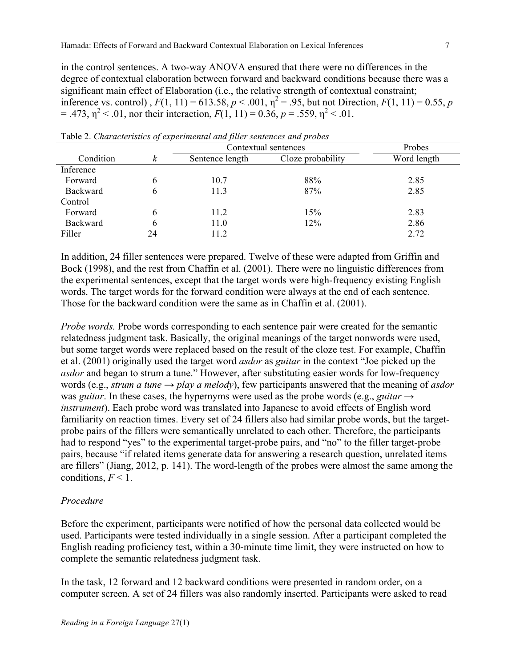in the control sentences. A two-way ANOVA ensured that there were no differences in the degree of contextual elaboration between forward and backward conditions because there was a significant main effect of Elaboration (i.e., the relative strength of contextual constraint; inference vs. control),  $F(1, 11) = 613.58, p < .001, \eta^2 = .95$ , but not Direction,  $F(1, 11) = 0.55, p$  $=$  .473,  $\eta^2$  < .01, nor their interaction,  $F(1, 11) = 0.36$ ,  $p = .559$ ,  $\eta^2$  < .01.

|           |    | Contextual sentences | Probes            |             |
|-----------|----|----------------------|-------------------|-------------|
| Condition | k  | Sentence length      | Cloze probability | Word length |
| Inference |    |                      |                   |             |
| Forward   | 6  | 10.7                 | 88%               | 2.85        |
| Backward  | 6  | 11.3                 | 87%               | 2.85        |
| Control   |    |                      |                   |             |
| Forward   | 6  | 11.2                 | 15%               | 2.83        |
| Backward  | 6  | 11.0                 | 12%               | 2.86        |
| Filler    | 24 | 11.2                 |                   | 2.72        |

Table 2. *Characteristics of experimental and filler sentences and probes*

In addition, 24 filler sentences were prepared. Twelve of these were adapted from Griffin and Bock (1998), and the rest from Chaffin et al. (2001). There were no linguistic differences from the experimental sentences, except that the target words were high-frequency existing English words. The target words for the forward condition were always at the end of each sentence. Those for the backward condition were the same as in Chaffin et al. (2001).

*Probe words.* Probe words corresponding to each sentence pair were created for the semantic relatedness judgment task. Basically, the original meanings of the target nonwords were used, but some target words were replaced based on the result of the cloze test. For example, Chaffin et al. (2001) originally used the target word *asdor* as *guitar* in the context "Joe picked up the *asdor* and began to strum a tune." However, after substituting easier words for low-frequency words (e.g., *strum a tune*  $\rightarrow$  *play a melody*), few participants answered that the meaning of *asdor* was *guitar*. In these cases, the hypernyms were used as the probe words (e.g., *guitar* → *instrument*). Each probe word was translated into Japanese to avoid effects of English word familiarity on reaction times. Every set of 24 fillers also had similar probe words, but the targetprobe pairs of the fillers were semantically unrelated to each other. Therefore, the participants had to respond "yes" to the experimental target-probe pairs, and "no" to the filler target-probe pairs, because "if related items generate data for answering a research question, unrelated items are fillers" (Jiang, 2012, p. 141). The word-length of the probes were almost the same among the conditions,  $F < 1$ .

#### *Procedure*

Before the experiment, participants were notified of how the personal data collected would be used. Participants were tested individually in a single session. After a participant completed the English reading proficiency test, within a 30-minute time limit, they were instructed on how to complete the semantic relatedness judgment task.

In the task, 12 forward and 12 backward conditions were presented in random order, on a computer screen. A set of 24 fillers was also randomly inserted. Participants were asked to read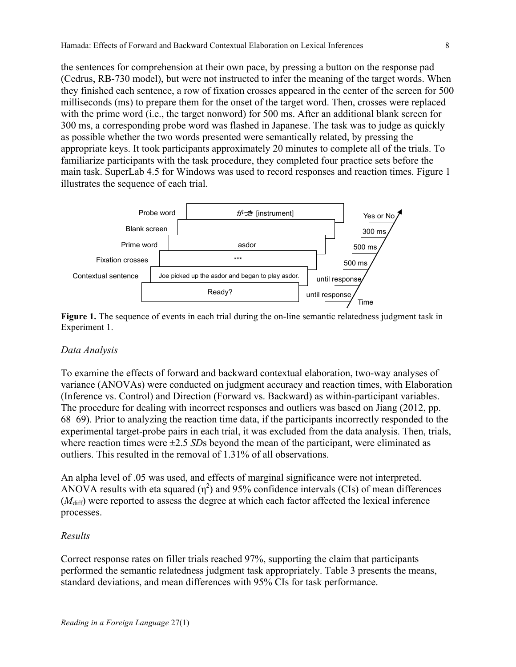the sentences for comprehension at their own pace, by pressing a button on the response pad (Cedrus, RB-730 model), but were not instructed to infer the meaning of the target words. When they finished each sentence, a row of fixation crosses appeared in the center of the screen for 500 milliseconds (ms) to prepare them for the onset of the target word. Then, crosses were replaced with the prime word (i.e., the target nonword) for 500 ms. After an additional blank screen for 300 ms, a corresponding probe word was flashed in Japanese. The task was to judge as quickly as possible whether the two words presented were semantically related, by pressing the appropriate keys. It took participants approximately 20 minutes to complete all of the trials. To familiarize participants with the task procedure, they completed four practice sets before the main task. SuperLab 4.5 for Windows was used to record responses and reaction times. Figure 1 illustrates the sequence of each trial.



**Figure 1.** The sequence of events in each trial during the on-line semantic relatedness judgment task in Experiment 1.

## *Data Analysis*

To examine the effects of forward and backward contextual elaboration, two-way analyses of variance (ANOVAs) were conducted on judgment accuracy and reaction times, with Elaboration (Inference vs. Control) and Direction (Forward vs. Backward) as within-participant variables. The procedure for dealing with incorrect responses and outliers was based on Jiang (2012, pp. 68–69). Prior to analyzing the reaction time data, if the participants incorrectly responded to the experimental target-probe pairs in each trial, it was excluded from the data analysis. Then, trials, where reaction times were ±2.5 *SD*s beyond the mean of the participant, were eliminated as outliers. This resulted in the removal of 1.31% of all observations.

An alpha level of .05 was used, and effects of marginal significance were not interpreted. ANOVA results with eta squared  $(\eta^2)$  and 95% confidence intervals (CIs) of mean differences ( $M<sub>diff</sub>$ ) were reported to assess the degree at which each factor affected the lexical inference processes.

## *Results*

Correct response rates on filler trials reached 97%, supporting the claim that participants performed the semantic relatedness judgment task appropriately. Table 3 presents the means, standard deviations, and mean differences with 95% CIs for task performance.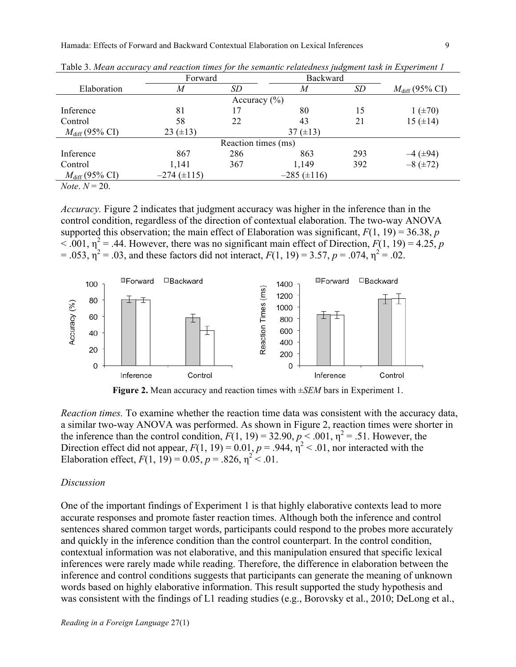|                                                     | Forward            |                  | Backward         |           |                            |  |  |
|-----------------------------------------------------|--------------------|------------------|------------------|-----------|----------------------------|--|--|
| Elaboration                                         | M                  | SD               | M                | <b>SD</b> | $M_{\text{diff}}$ (95% CI) |  |  |
|                                                     |                    | Accuracy $(\% )$ |                  |           |                            |  |  |
| Inference                                           | 81                 |                  | 80               | 15        | $1 (+70)$                  |  |  |
| Control                                             | 58                 | 22               | 43               | 21        | $15 (+14)$                 |  |  |
| $M_{\text{diff}}$ (95% CI)                          | 23 $(\pm 13)$      |                  | 37 $(\pm 13)$    |           |                            |  |  |
| Reaction times (ms)                                 |                    |                  |                  |           |                            |  |  |
| Inference                                           | 867                | 286              | 863              | 293       | $-4$ ( $\pm$ 94)           |  |  |
| Control                                             | 1,141              | 367              | 1,149            | 392       | $-8 (+72)$                 |  |  |
| $M_{\text{diff}}$ (95% CI)                          | $-274 \ (\pm 115)$ |                  | $-285 (\pm 116)$ |           |                            |  |  |
| $\mathbf{v}$ $\mathbf{v}$ $\mathbf{v}$ $\mathbf{v}$ |                    |                  |                  |           |                            |  |  |

Table 3. *Mean accuracy and reaction times for the semantic relatedness judgment task in Experiment 1* 

*Note*.  $N = 20$ .

*Accuracy.* Figure 2 indicates that judgment accuracy was higher in the inference than in the control condition, regardless of the direction of contextual elaboration. The two-way ANOVA supported this observation; the main effect of Elaboration was significant,  $F(1, 19) = 36.38$ , *p*  $<$  .001,  $\eta^2$  = .44. However, there was no significant main effect of Direction, *F*(1, 19) = 4.25, *p*  $= .053$ ,  $\eta^2 = .03$ , and these factors did not interact,  $F(1, 19) = 3.57$ ,  $p = .074$ ,  $\eta^2 = .02$ .



**Figure 2.** Mean accuracy and reaction times with ±*SEM* bars in Experiment 1.

*Reaction times.* To examine whether the reaction time data was consistent with the accuracy data, a similar two-way ANOVA was performed. As shown in Figure 2, reaction times were shorter in the inference than the control condition,  $F(1, 19) = 32.90$ ,  $p < .001$ ,  $\eta^2 = .51$ . However, the Direction effect did not appear,  $F(1, 19) = 0.01$ ,  $p = .944$ ,  $\eta^2 < .01$ , nor interacted with the Elaboration effect,  $F(1, 19) = 0.05$ ,  $p = .826$ ,  $\eta^2 < .01$ .

#### *Discussion*

One of the important findings of Experiment 1 is that highly elaborative contexts lead to more accurate responses and promote faster reaction times. Although both the inference and control sentences shared common target words, participants could respond to the probes more accurately and quickly in the inference condition than the control counterpart. In the control condition, contextual information was not elaborative, and this manipulation ensured that specific lexical inferences were rarely made while reading. Therefore, the difference in elaboration between the inference and control conditions suggests that participants can generate the meaning of unknown words based on highly elaborative information. This result supported the study hypothesis and was consistent with the findings of L1 reading studies (e.g., Borovsky et al., 2010; DeLong et al.,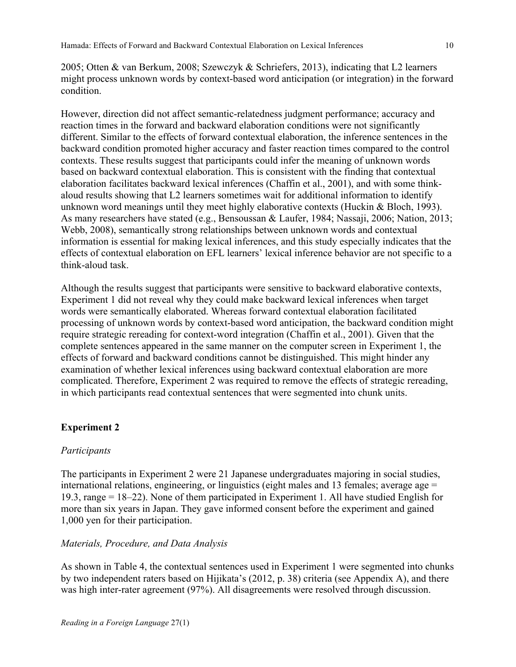2005; Otten & van Berkum, 2008; Szewczyk & Schriefers, 2013), indicating that L2 learners might process unknown words by context-based word anticipation (or integration) in the forward condition.

However, direction did not affect semantic-relatedness judgment performance; accuracy and reaction times in the forward and backward elaboration conditions were not significantly different. Similar to the effects of forward contextual elaboration, the inference sentences in the backward condition promoted higher accuracy and faster reaction times compared to the control contexts. These results suggest that participants could infer the meaning of unknown words based on backward contextual elaboration. This is consistent with the finding that contextual elaboration facilitates backward lexical inferences (Chaffin et al., 2001), and with some thinkaloud results showing that L2 learners sometimes wait for additional information to identify unknown word meanings until they meet highly elaborative contexts (Huckin & Bloch, 1993). As many researchers have stated (e.g., Bensoussan & Laufer, 1984; Nassaji, 2006; Nation, 2013; Webb, 2008), semantically strong relationships between unknown words and contextual information is essential for making lexical inferences, and this study especially indicates that the effects of contextual elaboration on EFL learners' lexical inference behavior are not specific to a think-aloud task.

Although the results suggest that participants were sensitive to backward elaborative contexts, Experiment 1 did not reveal why they could make backward lexical inferences when target words were semantically elaborated. Whereas forward contextual elaboration facilitated processing of unknown words by context-based word anticipation, the backward condition might require strategic rereading for context-word integration (Chaffin et al., 2001). Given that the complete sentences appeared in the same manner on the computer screen in Experiment 1, the effects of forward and backward conditions cannot be distinguished. This might hinder any examination of whether lexical inferences using backward contextual elaboration are more complicated. Therefore, Experiment 2 was required to remove the effects of strategic rereading, in which participants read contextual sentences that were segmented into chunk units.

## **Experiment 2**

## *Participants*

The participants in Experiment 2 were 21 Japanese undergraduates majoring in social studies, international relations, engineering, or linguistics (eight males and 13 females; average age = 19.3, range = 18–22). None of them participated in Experiment 1. All have studied English for more than six years in Japan. They gave informed consent before the experiment and gained 1,000 yen for their participation.

## *Materials, Procedure, and Data Analysis*

As shown in Table 4, the contextual sentences used in Experiment 1 were segmented into chunks by two independent raters based on Hijikata's (2012, p. 38) criteria (see Appendix A), and there was high inter-rater agreement (97%). All disagreements were resolved through discussion.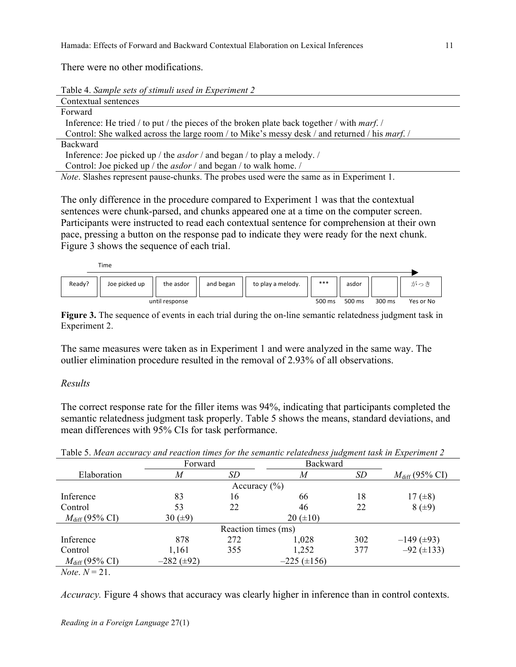There were no other modifications.

Table 4. *Sample sets of stimuli used in Experiment 2*

| Contextual sentences                                                                                 |
|------------------------------------------------------------------------------------------------------|
| Forward                                                                                              |
| Inference: He tried / to put / the pieces of the broken plate back together / with <i>marf.</i> /    |
| Control: She walked across the large room / to Mike's messy desk / and returned / his <i>marf.</i> / |
| <b>Backward</b>                                                                                      |
| Inference: Joe picked up / the <i>asdor</i> / and began / to play a melody. /                        |
| Control: Joe picked up / the <i>asdor</i> / and began / to walk home. /                              |
| <i>Note.</i> Slashes represent pause-chunks. The probes used were the same as in Experiment 1.       |

The only difference in the procedure compared to Experiment 1 was that the contextual sentences were chunk-parsed, and chunks appeared one at a time on the computer screen. Participants were instructed to read each contextual sentence for comprehension at their own pace, pressing a button on the response pad to indicate they were ready for the next chunk. Figure 3 shows the sequence of each trial.

Time



Figure 3. The sequence of events in each trial during the on-line semantic relatedness judgment task in Experiment 2.

The same measures were taken as in Experiment 1 and were analyzed in the same way. The outlier elimination procedure resulted in the removal of 2.93% of all observations.

#### *Results*

The correct response rate for the filler items was 94%, indicating that participants completed the semantic relatedness judgment task properly. Table 5 shows the means, standard deviations, and mean differences with 95% CIs for task performance.

| Tuolo S. mean accumus y ana reaction times for the scinantic retateaness fuagment tash in Experiment 2 |                     |     |                    |     |                            |  |
|--------------------------------------------------------------------------------------------------------|---------------------|-----|--------------------|-----|----------------------------|--|
|                                                                                                        | Forward             |     | <b>Backward</b>    |     |                            |  |
| Elaboration                                                                                            | M                   | SD  | M                  | SD  | $M_{\text{diff}}$ (95% CI) |  |
| Accuracy $(\% )$                                                                                       |                     |     |                    |     |                            |  |
| Inference                                                                                              | 83                  | 16  | 66                 | 18  | $17 (\pm 8)$               |  |
| Control                                                                                                | 53                  | 22  | 46                 | 22  | $8 (+9)$                   |  |
| $M_{\text{diff}}$ (95% CI)                                                                             | 30 $(\pm 9)$        |     | $20 (\pm 10)$      |     |                            |  |
| Reaction times (ms)                                                                                    |                     |     |                    |     |                            |  |
| Inference                                                                                              | 878                 | 272 | 1,028              | 302 | $-149$ ( $\pm 93$ )        |  |
| Control                                                                                                | 1,161               | 355 | 1,252              | 377 | $-92 \ (\pm 133)$          |  |
| $M_{\text{diff}}$ (95% CI)                                                                             | $-282$ ( $\pm 92$ ) |     | $-225 \ (\pm 156)$ |     |                            |  |
|                                                                                                        |                     |     |                    |     |                            |  |

Table 5. *Mean accuracy and reaction times for the semantic relatedness judgment task in Experiment 2* 

 $Note: N = 21$ .

*Accuracy.* Figure 4 shows that accuracy was clearly higher in inference than in control contexts.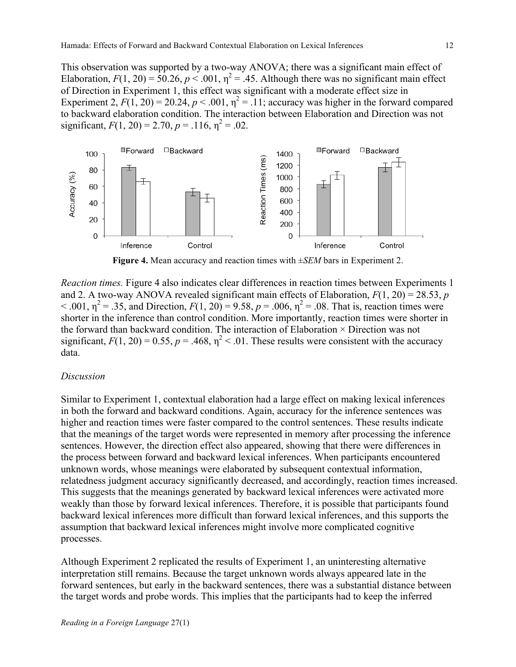This observation was supported by a two-way ANOVA; there was a significant main effect of Elaboration,  $F(1, 20) = 50.26$ ,  $p < .001$ ,  $\eta^2 = .45$ . Although there was no significant main effect of Direction in Experiment 1, this effect was significant with a moderate effect size in Experiment 2,  $F(1, 20) = 20.24$ ,  $p < .001$ ,  $\eta^2 = .11$ ; accuracy was higher in the forward compared to backward elaboration condition. The interaction between Elaboration and Direction was not significant,  $F(1, 20) = 2.70$ ,  $p = .116$ ,  $p^2 = .02$ .



**Figure 4.** Mean accuracy and reaction times with ±*SEM* bars in Experiment 2.

*Reaction times.* Figure 4 also indicates clear differences in reaction times between Experiments 1 and 2. A two-way ANOVA revealed significant main effects of Elaboration,  $F(1, 20) = 28.53$ , *p* < .001,  $η^2 = .35$ , and Direction,  $F(1, 20) = 9.58$ ,  $p = .006$ ,  $η^2 = .08$ . That is, reaction times were shorter in the inference than control condition. More importantly, reaction times were shorter in the forward than backward condition. The interaction of Elaboration × Direction was not significant,  $F(1, 20) = 0.55$ ,  $p = .468$ ,  $\eta^2 < .01$ . These results were consistent with the accuracy data.

#### *Discussion*

Similar to Experiment 1, contextual elaboration had a large effect on making lexical inferences in both the forward and backward conditions. Again, accuracy for the inference sentences was higher and reaction times were faster compared to the control sentences. These results indicate that the meanings of the target words were represented in memory after processing the inference sentences. However, the direction effect also appeared, showing that there were differences in the process between forward and backward lexical inferences. When participants encountered unknown words, whose meanings were elaborated by subsequent contextual information, relatedness judgment accuracy significantly decreased, and accordingly, reaction times increased. This suggests that the meanings generated by backward lexical inferences were activated more weakly than those by forward lexical inferences. Therefore, it is possible that participants found backward lexical inferences more difficult than forward lexical inferences, and this supports the assumption that backward lexical inferences might involve more complicated cognitive processes.

Although Experiment 2 replicated the results of Experiment 1, an uninteresting alternative interpretation still remains. Because the target unknown words always appeared late in the forward sentences, but early in the backward sentences, there was a substantial distance between the target words and probe words. This implies that the participants had to keep the inferred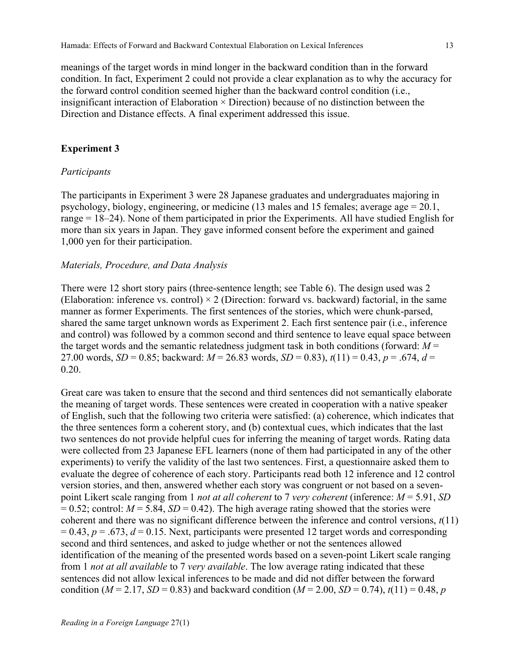meanings of the target words in mind longer in the backward condition than in the forward condition. In fact, Experiment 2 could not provide a clear explanation as to why the accuracy for the forward control condition seemed higher than the backward control condition (i.e., insignificant interaction of Elaboration  $\times$  Direction) because of no distinction between the Direction and Distance effects. A final experiment addressed this issue.

#### **Experiment 3**

#### *Participants*

The participants in Experiment 3 were 28 Japanese graduates and undergraduates majoring in psychology, biology, engineering, or medicine (13 males and 15 females; average age = 20.1, range = 18–24). None of them participated in prior the Experiments. All have studied English for more than six years in Japan. They gave informed consent before the experiment and gained 1,000 yen for their participation.

#### *Materials, Procedure, and Data Analysis*

There were 12 short story pairs (three-sentence length; see Table 6). The design used was 2 (Elaboration: inference vs. control)  $\times$  2 (Direction: forward vs. backward) factorial, in the same manner as former Experiments. The first sentences of the stories, which were chunk-parsed, shared the same target unknown words as Experiment 2. Each first sentence pair (i.e., inference and control) was followed by a common second and third sentence to leave equal space between the target words and the semantic relatedness judgment task in both conditions (forward:  $M =$ 27.00 words, *SD* = 0.85; backward:  $M = 26.83$  words, *SD* = 0.83),  $t(11) = 0.43$ ,  $p = .674$ ,  $d =$ 0.20.

Great care was taken to ensure that the second and third sentences did not semantically elaborate the meaning of target words. These sentences were created in cooperation with a native speaker of English, such that the following two criteria were satisfied: (a) coherence, which indicates that the three sentences form a coherent story, and (b) contextual cues, which indicates that the last two sentences do not provide helpful cues for inferring the meaning of target words. Rating data were collected from 23 Japanese EFL learners (none of them had participated in any of the other experiments) to verify the validity of the last two sentences. First, a questionnaire asked them to evaluate the degree of coherence of each story. Participants read both 12 inference and 12 control version stories, and then, answered whether each story was congruent or not based on a sevenpoint Likert scale ranging from 1 *not at all coherent* to 7 *very coherent* (inference: *M* = 5.91, *SD*  $= 0.52$ ; control:  $M = 5.84$ ,  $SD = 0.42$ ). The high average rating showed that the stories were coherent and there was no significant difference between the inference and control versions, *t*(11)  $= 0.43$ ,  $p = .673$ ,  $d = 0.15$ . Next, participants were presented 12 target words and corresponding second and third sentences, and asked to judge whether or not the sentences allowed identification of the meaning of the presented words based on a seven-point Likert scale ranging from 1 *not at all available* to 7 *very available*. The low average rating indicated that these sentences did not allow lexical inferences to be made and did not differ between the forward condition ( $M = 2.17$ ,  $SD = 0.83$ ) and backward condition ( $M = 2.00$ ,  $SD = 0.74$ ),  $t(11) = 0.48$ , *p*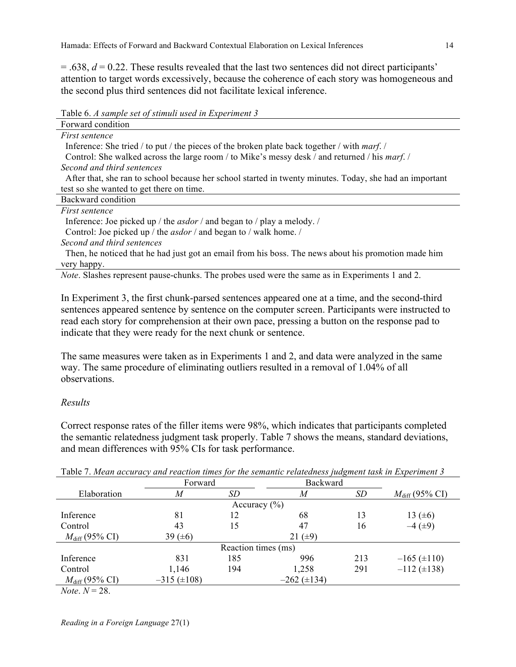Hamada: Effects of Forward and Backward Contextual Elaboration on Lexical Inferences 14

 $=$  .638,  $d = 0.22$ . These results revealed that the last two sentences did not direct participants' attention to target words excessively, because the coherence of each story was homogeneous and the second plus third sentences did not facilitate lexical inference.

Table 6. *A sample set of stimuli used in Experiment 3*

| Forward condition                                                                                       |
|---------------------------------------------------------------------------------------------------------|
| <i>First sentence</i>                                                                                   |
| Inference: She tried / to put / the pieces of the broken plate back together / with <i>marf.</i> /      |
| Control: She walked across the large room / to Mike's messy desk / and returned / his <i>marf. /</i>    |
| Second and third sentences                                                                              |
| After that, she ran to school because her school started in twenty minutes. Today, she had an important |
| test so she wanted to get there on time.                                                                |
| Backward condition                                                                                      |
| <i>First sentence</i>                                                                                   |
| Inference: Joe picked up / the <i>asdor</i> / and began to / play a melody. /                           |
| Control: Joe picked up / the <i>asdor</i> / and began to / walk home. /                                 |
| Second and third sentences                                                                              |
| Then, he noticed that he had just got an email from his boss. The news about his promotion made him     |
| very happy.                                                                                             |
| <i>Note.</i> Slashes represent pause-chunks. The probes used were the same as in Experiments 1 and 2.   |
|                                                                                                         |

In Experiment 3, the first chunk-parsed sentences appeared one at a time, and the second-third sentences appeared sentence by sentence on the computer screen. Participants were instructed to read each story for comprehension at their own pace, pressing a button on the response pad to indicate that they were ready for the next chunk or sentence.

The same measures were taken as in Experiments 1 and 2, and data were analyzed in the same way. The same procedure of eliminating outliers resulted in a removal of 1.04% of all observations.

## *Results*

Correct response rates of the filler items were 98%, which indicates that participants completed the semantic relatedness judgment task properly. Table 7 shows the means, standard deviations, and mean differences with 95% CIs for task performance.

|                                                     | Forward            |                  | Backward         |     |                            |  |  |
|-----------------------------------------------------|--------------------|------------------|------------------|-----|----------------------------|--|--|
| Elaboration                                         | M                  | SD               | M                | SD  | $M_{\text{diff}}$ (95% CI) |  |  |
|                                                     |                    | Accuracy $(\% )$ |                  |     |                            |  |  |
| Inference                                           | 81                 | 12               | 68               | 13  | 13 $(±6)$                  |  |  |
| Control                                             | 43                 | 15               | 47               | 16  | $-4$ ( $\pm$ 9)            |  |  |
| $M_{\text{diff}}$ (95% CI)                          | 39 $(\pm 6)$       |                  | 21 $(\pm 9)$     |     |                            |  |  |
| Reaction times (ms)                                 |                    |                  |                  |     |                            |  |  |
| Inference                                           | 831                | 185              | 996              | 213 | $-165 (\pm 110)$           |  |  |
| Control                                             | 1,146              | 194              | 1,258            | 291 | $-112 \ (\pm 138)$         |  |  |
| $M_{\text{diff}}$ (95% CI)                          | $-315 \ (\pm 108)$ |                  | $-262 (\pm 134)$ |     |                            |  |  |
| $\mathbf{v}$ $\mathbf{v}$ $\mathbf{v}$ $\mathbf{v}$ |                    |                  |                  |     |                            |  |  |

Table 7. *Mean accuracy and reaction times for the semantic relatedness judgment task in Experiment 3*

*Note*.  $N = 28$ .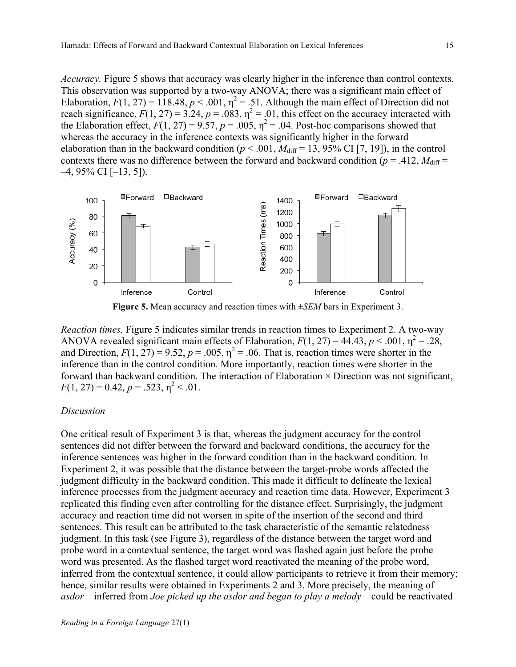*Accuracy.* Figure 5 shows that accuracy was clearly higher in the inference than control contexts. This observation was supported by a two-way ANOVA; there was a significant main effect of Elaboration,  $F(1, 27) = 118.48$ ,  $p < .001$ ,  $\eta^2 = .51$ . Although the main effect of Direction did not reach significance,  $F(1, 27) = 3.24$ ,  $p = .083$ ,  $\eta^2 = .01$ , this effect on the accuracy interacted with the Elaboration effect,  $F(1, 27) = 9.57$ ,  $p = .005$ ,  $\eta^2 = .04$ . Post-hoc comparisons showed that whereas the accuracy in the inference contexts was significantly higher in the forward elaboration than in the backward condition ( $p < .001$ ,  $M_{\text{diff}} = 13$ , 95% CI [7, 19]), in the control contexts there was no difference between the forward and backward condition ( $p = .412$ ,  $M_{\text{diff}} =$  $-4$ , 95% CI  $[-13, 5]$ ).



**Figure 5.** Mean accuracy and reaction times with ±*SEM* bars in Experiment 3.

*Reaction times.* Figure 5 indicates similar trends in reaction times to Experiment 2. A two-way ANOVA revealed significant main effects of Elaboration,  $F(1, 27) = 44.43$ ,  $p < .001$ ,  $\eta^2 = .28$ , and Direction,  $F(1, 27) = 9.52$ ,  $p = .005$ ,  $\eta^2 = .06$ . That is, reaction times were shorter in the inference than in the control condition. More importantly, reaction times were shorter in the forward than backward condition. The interaction of Elaboration  $\times$  Direction was not significant,  $F(1, 27) = 0.42, p = .523, \eta^2 < .01.$ 

#### *Discussion*

One critical result of Experiment 3 is that, whereas the judgment accuracy for the control sentences did not differ between the forward and backward conditions, the accuracy for the inference sentences was higher in the forward condition than in the backward condition. In Experiment 2, it was possible that the distance between the target-probe words affected the judgment difficulty in the backward condition. This made it difficult to delineate the lexical inference processes from the judgment accuracy and reaction time data. However, Experiment 3 replicated this finding even after controlling for the distance effect. Surprisingly, the judgment accuracy and reaction time did not worsen in spite of the insertion of the second and third sentences. This result can be attributed to the task characteristic of the semantic relatedness judgment. In this task (see Figure 3), regardless of the distance between the target word and probe word in a contextual sentence, the target word was flashed again just before the probe word was presented. As the flashed target word reactivated the meaning of the probe word, inferred from the contextual sentence, it could allow participants to retrieve it from their memory; hence, similar results were obtained in Experiments 2 and 3. More precisely, the meaning of *asdor*—inferred from *Joe picked up the asdor and began to play a melody*—could be reactivated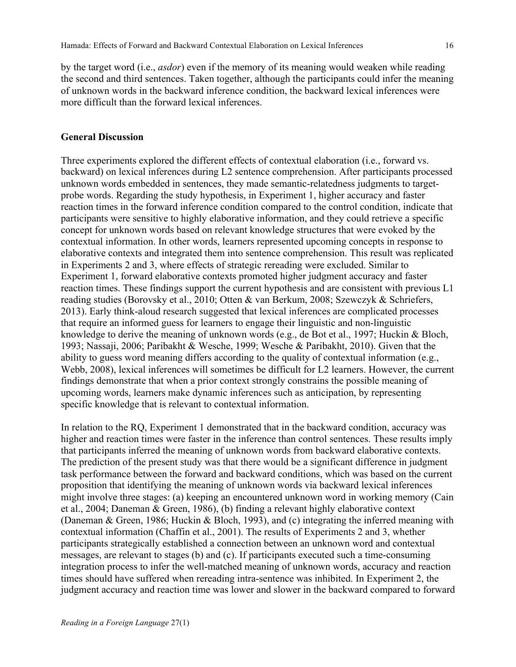by the target word (i.e., *asdor*) even if the memory of its meaning would weaken while reading the second and third sentences. Taken together, although the participants could infer the meaning of unknown words in the backward inference condition, the backward lexical inferences were more difficult than the forward lexical inferences.

#### **General Discussion**

Three experiments explored the different effects of contextual elaboration (i.e., forward vs. backward) on lexical inferences during L2 sentence comprehension. After participants processed unknown words embedded in sentences, they made semantic-relatedness judgments to targetprobe words. Regarding the study hypothesis, in Experiment 1, higher accuracy and faster reaction times in the forward inference condition compared to the control condition, indicate that participants were sensitive to highly elaborative information, and they could retrieve a specific concept for unknown words based on relevant knowledge structures that were evoked by the contextual information. In other words, learners represented upcoming concepts in response to elaborative contexts and integrated them into sentence comprehension. This result was replicated in Experiments 2 and 3, where effects of strategic rereading were excluded. Similar to Experiment 1, forward elaborative contexts promoted higher judgment accuracy and faster reaction times. These findings support the current hypothesis and are consistent with previous L1 reading studies (Borovsky et al., 2010; Otten & van Berkum, 2008; Szewczyk & Schriefers, 2013). Early think-aloud research suggested that lexical inferences are complicated processes that require an informed guess for learners to engage their linguistic and non-linguistic knowledge to derive the meaning of unknown words (e.g., de Bot et al., 1997; Huckin & Bloch, 1993; Nassaji, 2006; Paribakht & Wesche, 1999; Wesche & Paribakht, 2010). Given that the ability to guess word meaning differs according to the quality of contextual information (e.g., Webb, 2008), lexical inferences will sometimes be difficult for L2 learners. However, the current findings demonstrate that when a prior context strongly constrains the possible meaning of upcoming words, learners make dynamic inferences such as anticipation, by representing specific knowledge that is relevant to contextual information.

In relation to the RQ, Experiment 1 demonstrated that in the backward condition, accuracy was higher and reaction times were faster in the inference than control sentences. These results imply that participants inferred the meaning of unknown words from backward elaborative contexts. The prediction of the present study was that there would be a significant difference in judgment task performance between the forward and backward conditions, which was based on the current proposition that identifying the meaning of unknown words via backward lexical inferences might involve three stages: (a) keeping an encountered unknown word in working memory (Cain et al., 2004; Daneman & Green, 1986), (b) finding a relevant highly elaborative context (Daneman & Green, 1986; Huckin & Bloch, 1993), and (c) integrating the inferred meaning with contextual information (Chaffin et al., 2001). The results of Experiments 2 and 3, whether participants strategically established a connection between an unknown word and contextual messages, are relevant to stages (b) and (c). If participants executed such a time-consuming integration process to infer the well-matched meaning of unknown words, accuracy and reaction times should have suffered when rereading intra-sentence was inhibited. In Experiment 2, the judgment accuracy and reaction time was lower and slower in the backward compared to forward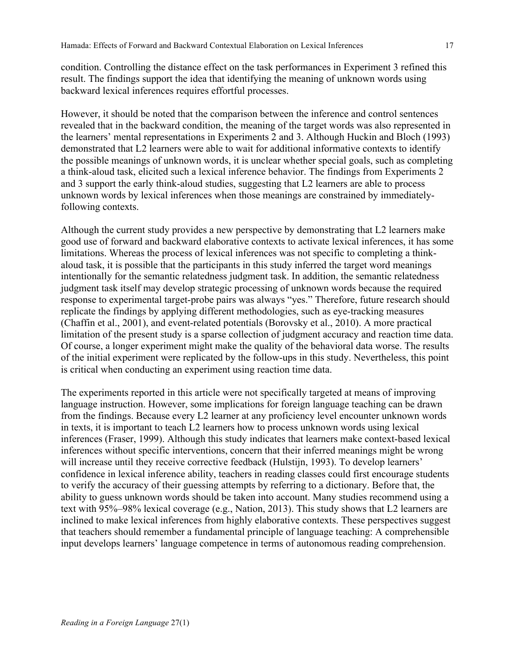condition. Controlling the distance effect on the task performances in Experiment 3 refined this result. The findings support the idea that identifying the meaning of unknown words using backward lexical inferences requires effortful processes.

However, it should be noted that the comparison between the inference and control sentences revealed that in the backward condition, the meaning of the target words was also represented in the learners' mental representations in Experiments 2 and 3. Although Huckin and Bloch (1993) demonstrated that L2 learners were able to wait for additional informative contexts to identify the possible meanings of unknown words, it is unclear whether special goals, such as completing a think-aloud task, elicited such a lexical inference behavior. The findings from Experiments 2 and 3 support the early think-aloud studies, suggesting that L2 learners are able to process unknown words by lexical inferences when those meanings are constrained by immediatelyfollowing contexts.

Although the current study provides a new perspective by demonstrating that L2 learners make good use of forward and backward elaborative contexts to activate lexical inferences, it has some limitations. Whereas the process of lexical inferences was not specific to completing a thinkaloud task, it is possible that the participants in this study inferred the target word meanings intentionally for the semantic relatedness judgment task. In addition, the semantic relatedness judgment task itself may develop strategic processing of unknown words because the required response to experimental target-probe pairs was always "yes." Therefore, future research should replicate the findings by applying different methodologies, such as eye-tracking measures (Chaffin et al., 2001), and event-related potentials (Borovsky et al., 2010). A more practical limitation of the present study is a sparse collection of judgment accuracy and reaction time data. Of course, a longer experiment might make the quality of the behavioral data worse. The results of the initial experiment were replicated by the follow-ups in this study. Nevertheless, this point is critical when conducting an experiment using reaction time data.

The experiments reported in this article were not specifically targeted at means of improving language instruction. However, some implications for foreign language teaching can be drawn from the findings. Because every L2 learner at any proficiency level encounter unknown words in texts, it is important to teach L2 learners how to process unknown words using lexical inferences (Fraser, 1999). Although this study indicates that learners make context-based lexical inferences without specific interventions, concern that their inferred meanings might be wrong will increase until they receive corrective feedback (Hulstijn, 1993). To develop learners' confidence in lexical inference ability, teachers in reading classes could first encourage students to verify the accuracy of their guessing attempts by referring to a dictionary. Before that, the ability to guess unknown words should be taken into account. Many studies recommend using a text with 95%–98% lexical coverage (e.g., Nation, 2013). This study shows that L2 learners are inclined to make lexical inferences from highly elaborative contexts. These perspectives suggest that teachers should remember a fundamental principle of language teaching: A comprehensible input develops learners' language competence in terms of autonomous reading comprehension.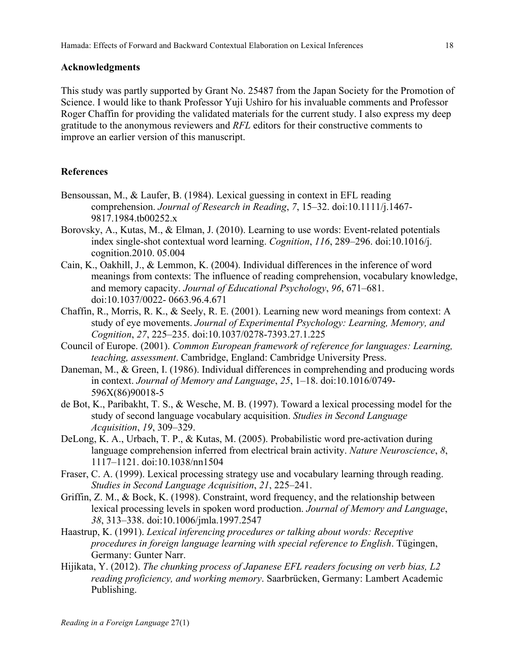#### **Acknowledgments**

This study was partly supported by Grant No. 25487 from the Japan Society for the Promotion of Science. I would like to thank Professor Yuji Ushiro for his invaluable comments and Professor Roger Chaffin for providing the validated materials for the current study. I also express my deep gratitude to the anonymous reviewers and *RFL* editors for their constructive comments to improve an earlier version of this manuscript.

## **References**

- Bensoussan, M., & Laufer, B. (1984). Lexical guessing in context in EFL reading comprehension. *Journal of Research in Reading*, *7*, 15–32. doi:10.1111/j.1467- 9817.1984.tb00252.x
- Borovsky, A., Kutas, M., & Elman, J. (2010). Learning to use words: Event-related potentials index single-shot contextual word learning. *Cognition*, *116*, 289–296. doi:10.1016/j. cognition.2010. 05.004
- Cain, K., Oakhill, J., & Lemmon, K. (2004). Individual differences in the inference of word meanings from contexts: The influence of reading comprehension, vocabulary knowledge, and memory capacity. *Journal of Educational Psychology*, *96*, 671–681. doi:10.1037/0022- 0663.96.4.671
- Chaffin, R., Morris, R. K., & Seely, R. E. (2001). Learning new word meanings from context: A study of eye movements. *Journal of Experimental Psychology: Learning, Memory, and Cognition*, *27*, 225–235. doi:10.1037/0278-7393.27.1.225
- Council of Europe. (2001). *Common European framework of reference for languages: Learning, teaching, assessment*. Cambridge, England: Cambridge University Press.
- Daneman, M., & Green, I. (1986). Individual differences in comprehending and producing words in context. *Journal of Memory and Language*, *25*, 1–18. doi:10.1016/0749- 596X(86)90018-5
- de Bot, K., Paribakht, T. S., & Wesche, M. B. (1997). Toward a lexical processing model for the study of second language vocabulary acquisition. *Studies in Second Language Acquisition*, *19*, 309–329.
- DeLong, K. A., Urbach, T. P., & Kutas, M. (2005). Probabilistic word pre-activation during language comprehension inferred from electrical brain activity. *Nature Neuroscience*, *8*, 1117–1121. doi:10.1038/nn1504
- Fraser, C. A. (1999). Lexical processing strategy use and vocabulary learning through reading. *Studies in Second Language Acquisition*, *21*, 225–241.
- Griffin, Z. M., & Bock, K. (1998). Constraint, word frequency, and the relationship between lexical processing levels in spoken word production. *Journal of Memory and Language*, *38*, 313–338. doi:10.1006/jmla.1997.2547
- Haastrup, K. (1991). *Lexical inferencing procedures or talking about words: Receptive procedures in foreign language learning with special reference to English*. Tügingen, Germany: Gunter Narr.
- Hijikata, Y. (2012). *The chunking process of Japanese EFL readers focusing on verb bias, L2 reading proficiency, and working memory*. Saarbrücken, Germany: Lambert Academic Publishing.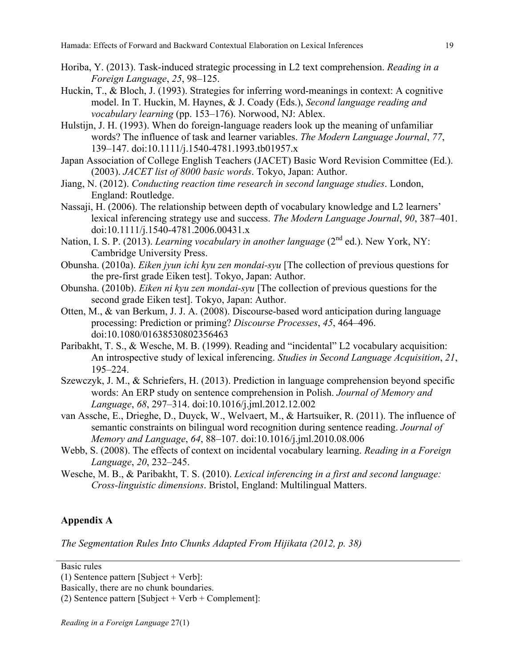- Horiba, Y. (2013). Task-induced strategic processing in L2 text comprehension. *Reading in a Foreign Language*, *25*, 98–125.
- Huckin, T., & Bloch, J. (1993). Strategies for inferring word-meanings in context: A cognitive model. In T. Huckin, M. Haynes, & J. Coady (Eds.), *Second language reading and vocabulary learning* (pp. 153–176). Norwood, NJ: Ablex.
- Hulstijn, J. H. (1993). When do foreign-language readers look up the meaning of unfamiliar words? The influence of task and learner variables. *The Modern Language Journal*, *77*, 139–147. doi:10.1111/j.1540-4781.1993.tb01957.x
- Japan Association of College English Teachers (JACET) Basic Word Revision Committee (Ed.). (2003). *JACET list of 8000 basic words*. Tokyo, Japan: Author.
- Jiang, N. (2012). *Conducting reaction time research in second language studies*. London, England: Routledge.
- Nassaji, H. (2006). The relationship between depth of vocabulary knowledge and L2 learners' lexical inferencing strategy use and success. *The Modern Language Journal*, *90*, 387–401. doi:10.1111/j.1540-4781.2006.00431.x
- Nation, I. S. P. (2013). *Learning vocabulary in another language* (2<sup>nd</sup> ed.). New York, NY: Cambridge University Press.
- Obunsha. (2010a). *Eiken jyun ichi kyu zen mondai-syu* [The collection of previous questions for the pre-first grade Eiken test]. Tokyo, Japan: Author.
- Obunsha. (2010b). *Eiken ni kyu zen mondai-syu* [The collection of previous questions for the second grade Eiken test]. Tokyo, Japan: Author.
- Otten, M., & van Berkum, J. J. A. (2008). Discourse-based word anticipation during language processing: Prediction or priming? *Discourse Processes*, *45*, 464–496. doi:10.1080/01638530802356463
- Paribakht, T. S., & Wesche, M. B. (1999). Reading and "incidental" L2 vocabulary acquisition: An introspective study of lexical inferencing. *Studies in Second Language Acquisition*, *21*, 195–224.
- Szewczyk, J. M., & Schriefers, H. (2013). Prediction in language comprehension beyond specific words: An ERP study on sentence comprehension in Polish. *Journal of Memory and Language*, *68*, 297–314. doi:10.1016/j.jml.2012.12.002
- van Assche, E., Drieghe, D., Duyck, W., Welvaert, M., & Hartsuiker, R. (2011). The influence of semantic constraints on bilingual word recognition during sentence reading. *Journal of Memory and Language*, *64*, 88–107. doi:10.1016/j.jml.2010.08.006
- Webb, S. (2008). The effects of context on incidental vocabulary learning. *Reading in a Foreign Language*, *20*, 232–245.
- Wesche, M. B., & Paribakht, T. S. (2010). *Lexical inferencing in a first and second language: Cross-linguistic dimensions*. Bristol, England: Multilingual Matters.

## **Appendix A**

*The Segmentation Rules Into Chunks Adapted From Hijikata (2012, p. 38)*

Basic rules

<sup>(1)</sup> Sentence pattern [Subject + Verb]:

Basically, there are no chunk boundaries.

<sup>(2)</sup> Sentence pattern [Subject + Verb + Complement]: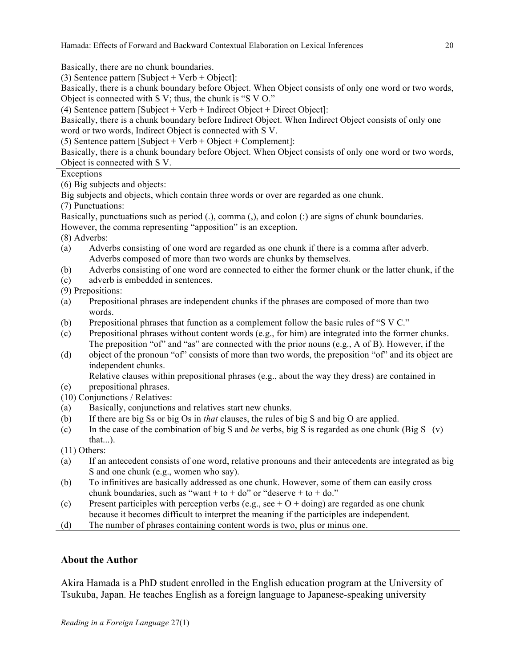Hamada: Effects of Forward and Backward Contextual Elaboration on Lexical Inferences 20

Basically, there are no chunk boundaries.

(3) Sentence pattern [Subject + Verb + Object]:

Basically, there is a chunk boundary before Object. When Object consists of only one word or two words, Object is connected with S V; thus, the chunk is "S V O."

(4) Sentence pattern [Subject + Verb + Indirect Object + Direct Object]:

Basically, there is a chunk boundary before Indirect Object. When Indirect Object consists of only one word or two words, Indirect Object is connected with S V.

(5) Sentence pattern [Subject + Verb + Object + Complement]:

Basically, there is a chunk boundary before Object. When Object consists of only one word or two words, Object is connected with S V.

#### **Exceptions**

(6) Big subjects and objects:

Big subjects and objects, which contain three words or over are regarded as one chunk.

(7) Punctuations:

Basically, punctuations such as period (.), comma (,), and colon (:) are signs of chunk boundaries. However, the comma representing "apposition" is an exception.

(8) Adverbs:

- (a) Adverbs consisting of one word are regarded as one chunk if there is a comma after adverb. Adverbs composed of more than two words are chunks by themselves.
- (b) Adverbs consisting of one word are connected to either the former chunk or the latter chunk, if the
- (c) adverb is embedded in sentences.

(9) Prepositions:

- (a) Prepositional phrases are independent chunks if the phrases are composed of more than two words.
- (b) Prepositional phrases that function as a complement follow the basic rules of "S V C."
- (c) Prepositional phrases without content words (e.g., for him) are integrated into the former chunks. The preposition "of" and "as" are connected with the prior nouns (e.g., A of B). However, if the
- (d) object of the pronoun "of" consists of more than two words, the preposition "of" and its object are independent chunks.

Relative clauses within prepositional phrases (e.g., about the way they dress) are contained in

- (e) prepositional phrases.
- (10) Conjunctions / Relatives:
- (a) Basically, conjunctions and relatives start new chunks.
- (b) If there are big Ss or big Os in *that* clauses, the rules of big S and big O are applied.
- (c) In the case of the combination of big S and *be* verbs, big S is regarded as one chunk (Big S  $|(v)|$ that...).

(11) Others:

- (a) If an antecedent consists of one word, relative pronouns and their antecedents are integrated as big S and one chunk (e.g., women who say).
- (b) To infinitives are basically addressed as one chunk. However, some of them can easily cross chunk boundaries, such as "want + to + do" or "deserve + to + do."
- (c) Present participles with perception verbs (e.g., see  $+ O + \text{doing}$ ) are regarded as one chunk because it becomes difficult to interpret the meaning if the participles are independent.
- (d) The number of phrases containing content words is two, plus or minus one.

## **About the Author**

Akira Hamada is a PhD student enrolled in the English education program at the University of Tsukuba, Japan. He teaches English as a foreign language to Japanese-speaking university